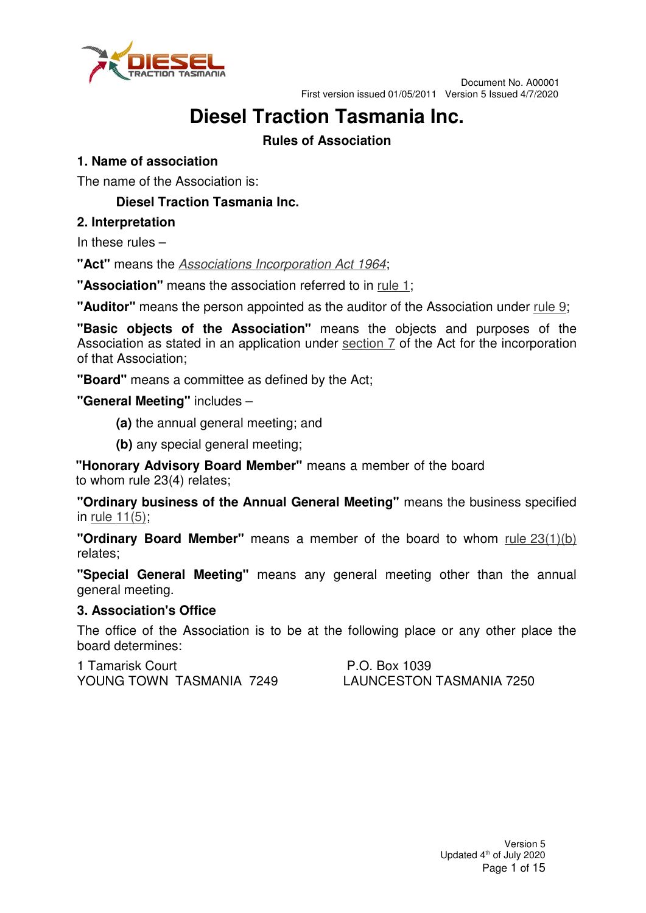

# **Diesel Traction Tasmania Inc.**

# **Rules of Association**

## **1. Name of association**

The name of the Association is:

# **Diesel Traction Tasmania Inc.**

## **2. Interpretation**

In these rules –

**"Act"** means the Associations Incorporation Act 1964;

**"Association"** means the association referred to in rule 1;

**"Auditor"** means the person appointed as the auditor of the Association under rule 9;

**"Basic objects of the Association"** means the objects and purposes of the Association as stated in an application under section  $\bar{z}$  of the Act for the incorporation of that Association;

**"Board"** means a committee as defined by the Act;

**"General Meeting"** includes –

- **(a)** the annual general meeting; and
- **(b)** any special general meeting;

**"Honorary Advisory Board Member"** means a member of the board to whom rule 23(4) relates;

**"Ordinary business of the Annual General Meeting"** means the business specified in rule 11(5);

**"Ordinary Board Member"** means a member of the board to whom rule 23(1)(b) relates;

**"Special General Meeting"** means any general meeting other than the annual general meeting.

## **3. Association's Office**

The office of the Association is to be at the following place or any other place the board determines:

1 Tamarisk Court **P.O. Box 1039** YOUNG TOWN TASMANIA 7249 LAUNCESTON TASMANIA 7250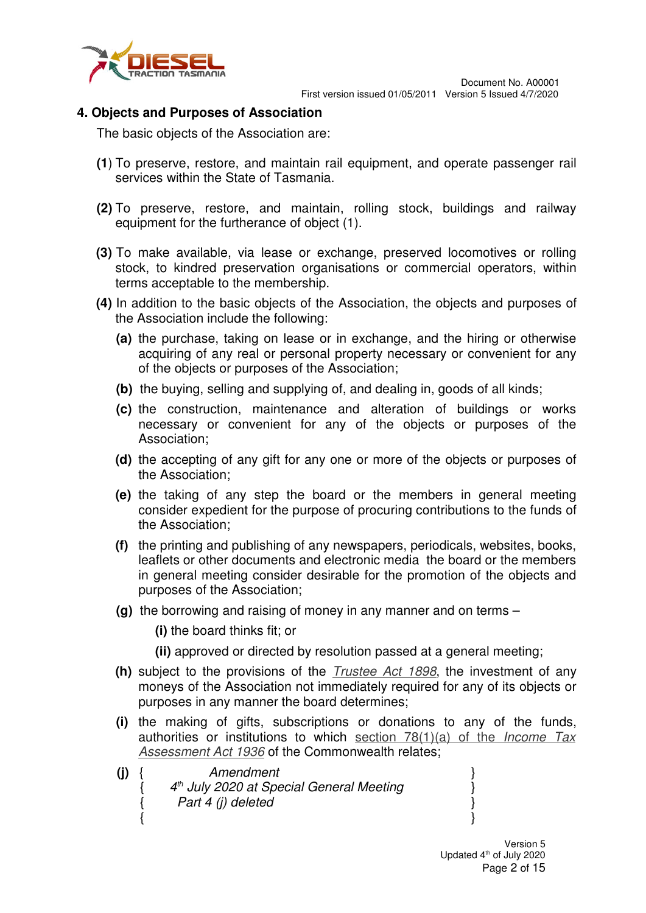

## **4. Objects and Purposes of Association**

The basic objects of the Association are:

- **(1**) To preserve, restore, and maintain rail equipment, and operate passenger rail services within the State of Tasmania.
- **(2)** To preserve, restore, and maintain, rolling stock, buildings and railway equipment for the furtherance of object (1).
- **(3)** To make available, via lease or exchange, preserved locomotives or rolling stock, to kindred preservation organisations or commercial operators, within terms acceptable to the membership.
- **(4)** In addition to the basic objects of the Association, the objects and purposes of the Association include the following:
	- **(a)** the purchase, taking on lease or in exchange, and the hiring or otherwise acquiring of any real or personal property necessary or convenient for any of the objects or purposes of the Association;
	- **(b)** the buying, selling and supplying of, and dealing in, goods of all kinds;
	- **(c)** the construction, maintenance and alteration of buildings or works necessary or convenient for any of the objects or purposes of the Association;
	- **(d)** the accepting of any gift for any one or more of the objects or purposes of the Association;
	- **(e)** the taking of any step the board or the members in general meeting consider expedient for the purpose of procuring contributions to the funds of the Association;
	- **(f)** the printing and publishing of any newspapers, periodicals, websites, books, leaflets or other documents and electronic media the board or the members in general meeting consider desirable for the promotion of the objects and purposes of the Association;
	- **(g)** the borrowing and raising of money in any manner and on terms –

**(i)** the board thinks fit; or

**(ii)** approved or directed by resolution passed at a general meeting;

- **(h)** subject to the provisions of the Trustee Act 1898, the investment of any moneys of the Association not immediately required for any of its objects or purposes in any manner the board determines;
- **(i)** the making of gifts, subscriptions or donations to any of the funds, authorities or institutions to which section  $78(1)(a)$  of the *Income Tax* Assessment Act 1936 of the Commonwealth relates;
- **(j)** { Amendment } { 4<sup>th</sup> July 2020 at Special General Meeting }  $Part 4 (i) deleted$  $\{$   $\}$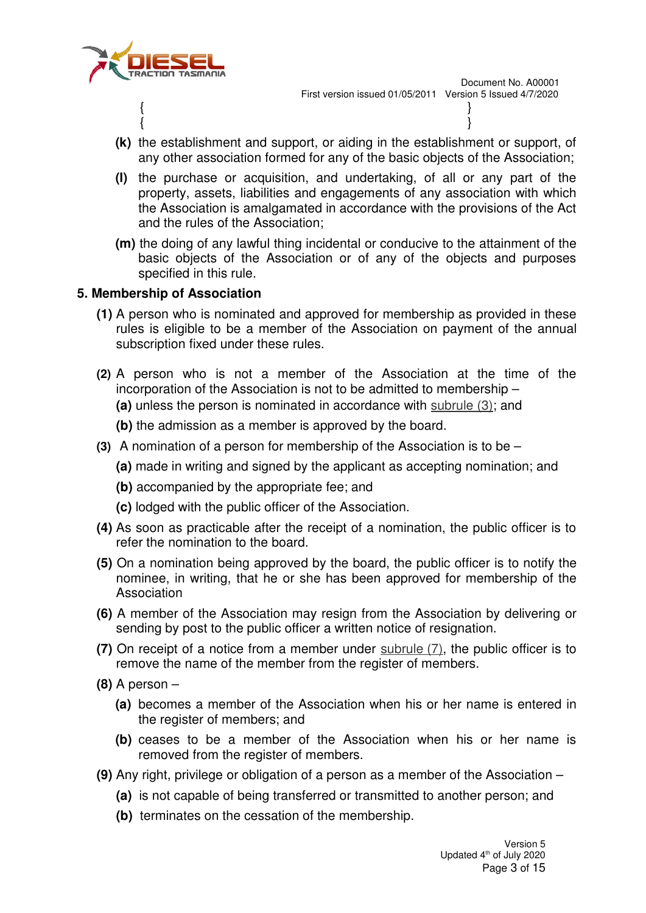

- **(k)** the establishment and support, or aiding in the establishment or support, of any other association formed for any of the basic objects of the Association;
- **(l)** the purchase or acquisition, and undertaking, of all or any part of the property, assets, liabilities and engagements of any association with which the Association is amalgamated in accordance with the provisions of the Act and the rules of the Association;
- **(m)** the doing of any lawful thing incidental or conducive to the attainment of the basic objects of the Association or of any of the objects and purposes specified in this rule.

## **5. Membership of Association**

- **(1)** A person who is nominated and approved for membership as provided in these rules is eligible to be a member of the Association on payment of the annual subscription fixed under these rules.
- **(2)** A person who is not a member of the Association at the time of the incorporation of the Association is not to be admitted to membership – **(a)** unless the person is nominated in accordance with subrule (3); and
	- **(b)** the admission as a member is approved by the board.
- **(3)** A nomination of a person for membership of the Association is to be
	- **(a)** made in writing and signed by the applicant as accepting nomination; and
	- **(b)** accompanied by the appropriate fee; and
	- **(c)** lodged with the public officer of the Association.
- **(4)** As soon as practicable after the receipt of a nomination, the public officer is to refer the nomination to the board.
- **(5)** On a nomination being approved by the board, the public officer is to notify the nominee, in writing, that he or she has been approved for membership of the Association
- **(6)** A member of the Association may resign from the Association by delivering or sending by post to the public officer a written notice of resignation.
- **(7)** On receipt of a notice from a member under subrule (7), the public officer is to remove the name of the member from the register of members.
- **(8)** A person
	- **(a)** becomes a member of the Association when his or her name is entered in the register of members; and
	- **(b)** ceases to be a member of the Association when his or her name is removed from the register of members.
- **(9)** Any right, privilege or obligation of a person as a member of the Association
	- **(a)** is not capable of being transferred or transmitted to another person; and
	- **(b)** terminates on the cessation of the membership.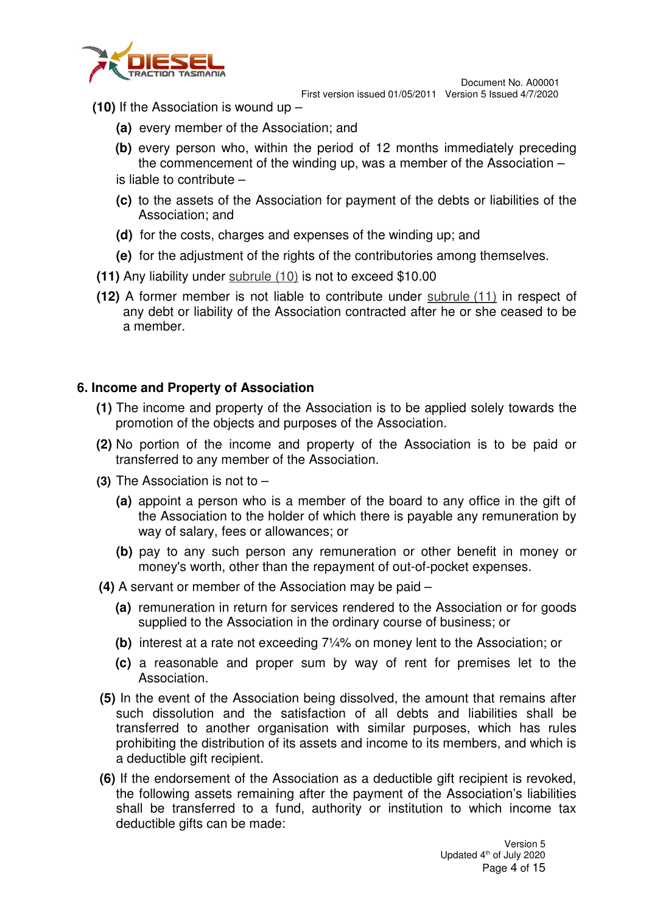

- **(10)** If the Association is wound up
	- **(a)** every member of the Association; and
	- **(b)** every person who, within the period of 12 months immediately preceding the commencement of the winding up, was a member of the Association – is liable to contribute –
	- **(c)** to the assets of the Association for payment of the debts or liabilities of the Association; and
	- **(d)** for the costs, charges and expenses of the winding up; and
	- **(e)** for the adjustment of the rights of the contributories among themselves.
- **(11)** Any liability under subrule (10) is not to exceed \$10.00
- **(12)** A former member is not liable to contribute under subrule (11) in respect of any debt or liability of the Association contracted after he or she ceased to be a member.

## **6. Income and Property of Association**

- **(1)** The income and property of the Association is to be applied solely towards the promotion of the objects and purposes of the Association.
- **(2)** No portion of the income and property of the Association is to be paid or transferred to any member of the Association.
- **(3)** The Association is not to
	- **(a)** appoint a person who is a member of the board to any office in the gift of the Association to the holder of which there is payable any remuneration by way of salary, fees or allowances; or
	- **(b)** pay to any such person any remuneration or other benefit in money or money's worth, other than the repayment of out-of-pocket expenses.
- **(4)** A servant or member of the Association may be paid
	- **(a)** remuneration in return for services rendered to the Association or for goods supplied to the Association in the ordinary course of business; or
	- **(b)** interest at a rate not exceeding 7¼% on money lent to the Association; or
	- **(c)** a reasonable and proper sum by way of rent for premises let to the Association.
- **(5)** In the event of the Association being dissolved, the amount that remains after such dissolution and the satisfaction of all debts and liabilities shall be transferred to another organisation with similar purposes, which has rules prohibiting the distribution of its assets and income to its members, and which is a deductible gift recipient.
- **(6)** If the endorsement of the Association as a deductible gift recipient is revoked, the following assets remaining after the payment of the Association's liabilities shall be transferred to a fund, authority or institution to which income tax deductible gifts can be made: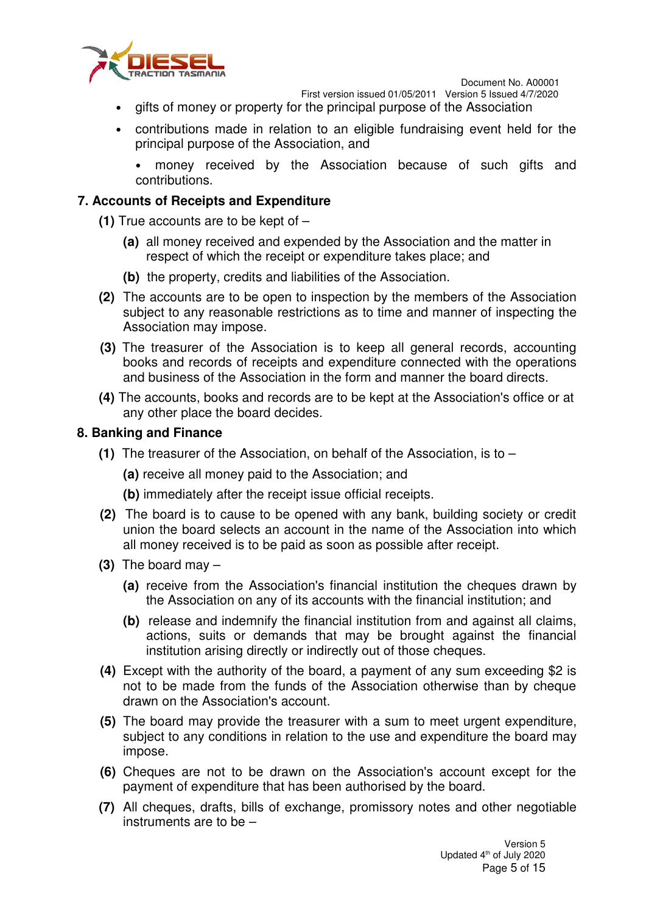

First version issued 01/05/2011 Version 5 Issued 4/7/2020

- gifts of money or property for the principal purpose of the Association
- contributions made in relation to an eligible fundraising event held for the principal purpose of the Association, and

• money received by the Association because of such gifts and contributions.

## **7. Accounts of Receipts and Expenditure**

- **(1)** True accounts are to be kept of
	- **(a)** all money received and expended by the Association and the matter in respect of which the receipt or expenditure takes place; and
	- **(b)** the property, credits and liabilities of the Association.
- **(2)** The accounts are to be open to inspection by the members of the Association subject to any reasonable restrictions as to time and manner of inspecting the Association may impose.
- **(3)** The treasurer of the Association is to keep all general records, accounting books and records of receipts and expenditure connected with the operations and business of the Association in the form and manner the board directs.
- **(4)** The accounts, books and records are to be kept at the Association's office or at any other place the board decides.

#### **8. Banking and Finance**

**(1)** The treasurer of the Association, on behalf of the Association, is to –

**(a)** receive all money paid to the Association; and

**(b)** immediately after the receipt issue official receipts.

- **(2)** The board is to cause to be opened with any bank, building society or credit union the board selects an account in the name of the Association into which all money received is to be paid as soon as possible after receipt.
- **(3)** The board may
	- **(a)** receive from the Association's financial institution the cheques drawn by the Association on any of its accounts with the financial institution; and
	- **(b)** release and indemnify the financial institution from and against all claims, actions, suits or demands that may be brought against the financial institution arising directly or indirectly out of those cheques.
- **(4)** Except with the authority of the board, a payment of any sum exceeding \$2 is not to be made from the funds of the Association otherwise than by cheque drawn on the Association's account.
- **(5)** The board may provide the treasurer with a sum to meet urgent expenditure, subject to any conditions in relation to the use and expenditure the board may impose.
- **(6)** Cheques are not to be drawn on the Association's account except for the payment of expenditure that has been authorised by the board.
- **(7)** All cheques, drafts, bills of exchange, promissory notes and other negotiable instruments are to be –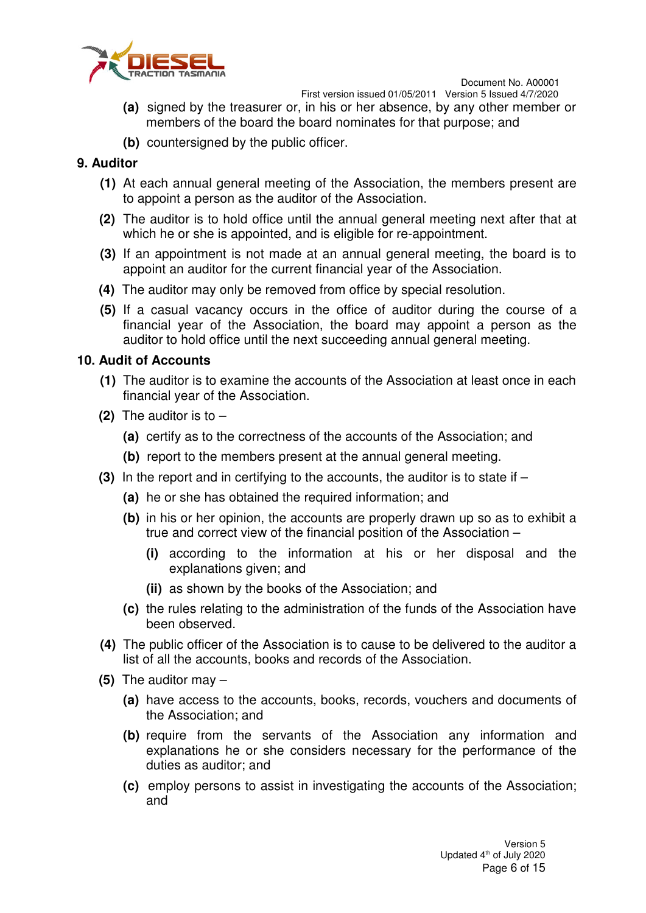

- **(a)** signed by the treasurer or, in his or her absence, by any other member or members of the board the board nominates for that purpose; and
- **(b)** countersigned by the public officer.

## **9. Auditor**

- **(1)** At each annual general meeting of the Association, the members present are to appoint a person as the auditor of the Association.
- **(2)** The auditor is to hold office until the annual general meeting next after that at which he or she is appointed, and is eligible for re-appointment.
- **(3)** If an appointment is not made at an annual general meeting, the board is to appoint an auditor for the current financial year of the Association.
- **(4)** The auditor may only be removed from office by special resolution.
- **(5)** If a casual vacancy occurs in the office of auditor during the course of a financial year of the Association, the board may appoint a person as the auditor to hold office until the next succeeding annual general meeting.

## **10. Audit of Accounts**

- **(1)** The auditor is to examine the accounts of the Association at least once in each financial year of the Association.
- **(2)** The auditor is to
	- **(a)** certify as to the correctness of the accounts of the Association; and
	- **(b)** report to the members present at the annual general meeting.
- **(3)** In the report and in certifying to the accounts, the auditor is to state if
	- **(a)** he or she has obtained the required information; and
	- **(b)** in his or her opinion, the accounts are properly drawn up so as to exhibit a true and correct view of the financial position of the Association –
		- **(i)** according to the information at his or her disposal and the explanations given; and
		- **(ii)** as shown by the books of the Association; and
	- **(c)** the rules relating to the administration of the funds of the Association have been observed.
- **(4)** The public officer of the Association is to cause to be delivered to the auditor a list of all the accounts, books and records of the Association.
- **(5)** The auditor may
	- **(a)** have access to the accounts, books, records, vouchers and documents of the Association; and
	- **(b)** require from the servants of the Association any information and explanations he or she considers necessary for the performance of the duties as auditor; and
	- **(c)** employ persons to assist in investigating the accounts of the Association; and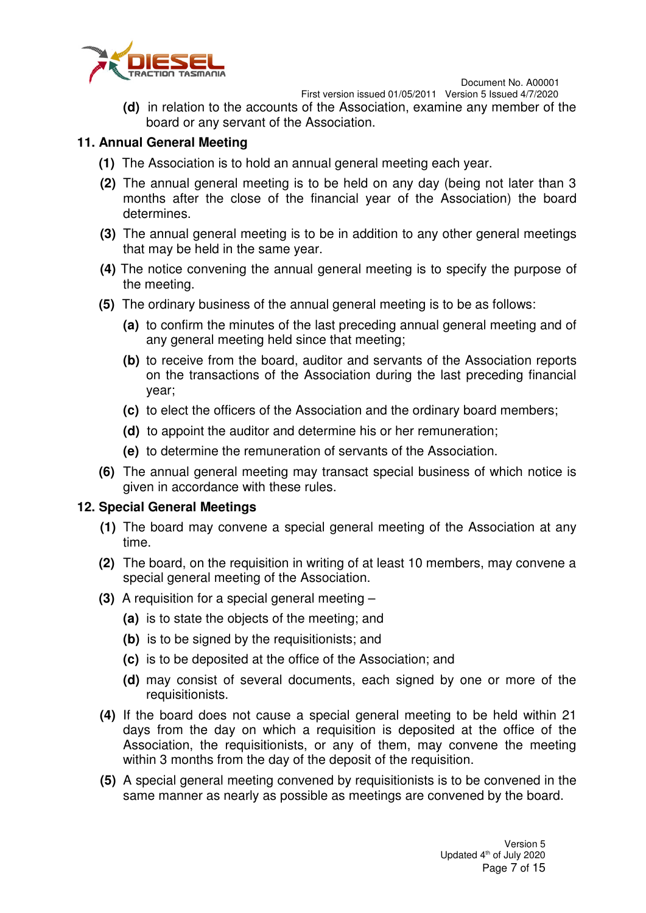

First version issued 01/05/2011 Version 5 Issued 4/7/2020

**(d)** in relation to the accounts of the Association, examine any member of the board or any servant of the Association.

#### **11. Annual General Meeting**

- **(1)** The Association is to hold an annual general meeting each year.
- **(2)** The annual general meeting is to be held on any day (being not later than 3 months after the close of the financial year of the Association) the board determines.
- **(3)** The annual general meeting is to be in addition to any other general meetings that may be held in the same year.
- **(4)** The notice convening the annual general meeting is to specify the purpose of the meeting.
- **(5)** The ordinary business of the annual general meeting is to be as follows:
	- **(a)** to confirm the minutes of the last preceding annual general meeting and of any general meeting held since that meeting;
	- **(b)** to receive from the board, auditor and servants of the Association reports on the transactions of the Association during the last preceding financial year;
	- **(c)** to elect the officers of the Association and the ordinary board members;
	- **(d)** to appoint the auditor and determine his or her remuneration;
	- **(e)** to determine the remuneration of servants of the Association.
- **(6)** The annual general meeting may transact special business of which notice is given in accordance with these rules.

## **12. Special General Meetings**

- **(1)** The board may convene a special general meeting of the Association at any time.
- **(2)** The board, on the requisition in writing of at least 10 members, may convene a special general meeting of the Association.
- **(3)** A requisition for a special general meeting
	- **(a)** is to state the objects of the meeting; and
	- **(b)** is to be signed by the requisitionists; and
	- **(c)** is to be deposited at the office of the Association; and
	- **(d)** may consist of several documents, each signed by one or more of the requisitionists.
- **(4)** If the board does not cause a special general meeting to be held within 21 days from the day on which a requisition is deposited at the office of the Association, the requisitionists, or any of them, may convene the meeting within 3 months from the day of the deposit of the requisition.
- **(5)** A special general meeting convened by requisitionists is to be convened in the same manner as nearly as possible as meetings are convened by the board.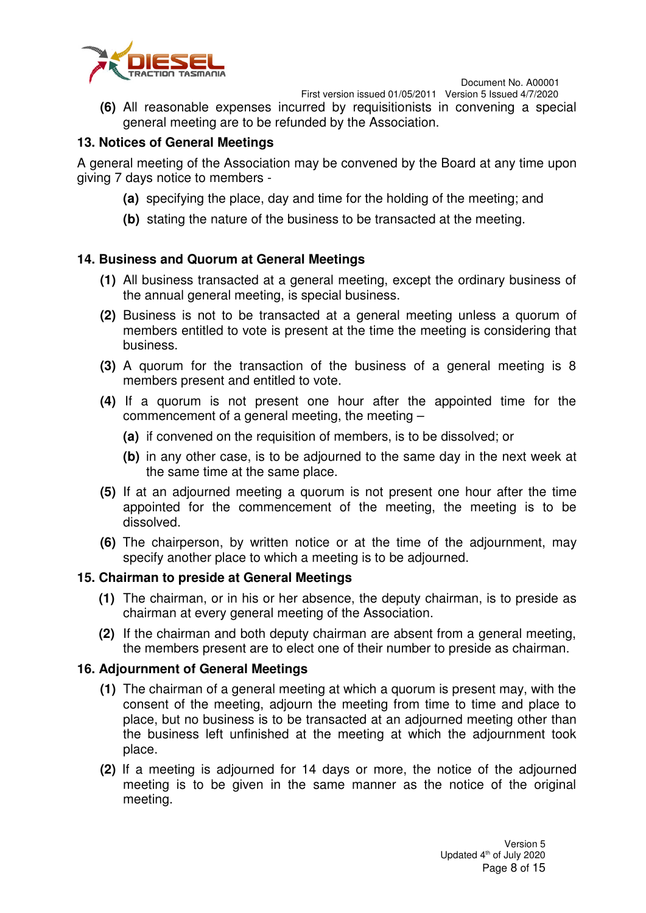

First version issued 01/05/2011 Version 5 Issued 4/7/2020

**(6)** All reasonable expenses incurred by requisitionists in convening a special general meeting are to be refunded by the Association.

## **13. Notices of General Meetings**

A general meeting of the Association may be convened by the Board at any time upon giving 7 days notice to members -

- **(a)** specifying the place, day and time for the holding of the meeting; and
- **(b)** stating the nature of the business to be transacted at the meeting.

#### **14. Business and Quorum at General Meetings**

- **(1)** All business transacted at a general meeting, except the ordinary business of the annual general meeting, is special business.
- **(2)** Business is not to be transacted at a general meeting unless a quorum of members entitled to vote is present at the time the meeting is considering that business.
- **(3)** A quorum for the transaction of the business of a general meeting is 8 members present and entitled to vote.
- **(4)** If a quorum is not present one hour after the appointed time for the commencement of a general meeting, the meeting –
	- **(a)** if convened on the requisition of members, is to be dissolved; or
	- **(b)** in any other case, is to be adjourned to the same day in the next week at the same time at the same place.
- **(5)** If at an adjourned meeting a quorum is not present one hour after the time appointed for the commencement of the meeting, the meeting is to be dissolved.
- **(6)** The chairperson, by written notice or at the time of the adjournment, may specify another place to which a meeting is to be adjourned.

#### **15. Chairman to preside at General Meetings**

- **(1)** The chairman, or in his or her absence, the deputy chairman, is to preside as chairman at every general meeting of the Association.
- **(2)** If the chairman and both deputy chairman are absent from a general meeting, the members present are to elect one of their number to preside as chairman.

#### **16. Adjournment of General Meetings**

- **(1)** The chairman of a general meeting at which a quorum is present may, with the consent of the meeting, adjourn the meeting from time to time and place to place, but no business is to be transacted at an adjourned meeting other than the business left unfinished at the meeting at which the adjournment took place.
- **(2)** If a meeting is adjourned for 14 days or more, the notice of the adjourned meeting is to be given in the same manner as the notice of the original meeting.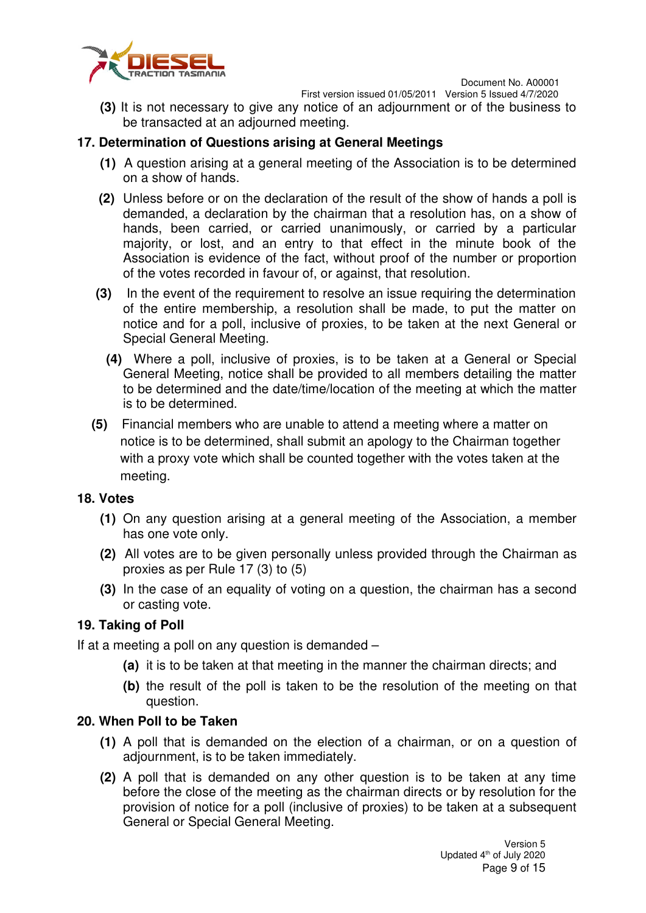

First version issued 01/05/2011 Version 5 Issued 4/7/2020

**(3)** It is not necessary to give any notice of an adjournment or of the business to be transacted at an adjourned meeting.

## **17. Determination of Questions arising at General Meetings**

- **(1)** A question arising at a general meeting of the Association is to be determined on a show of hands.
- **(2)** Unless before or on the declaration of the result of the show of hands a poll is demanded, a declaration by the chairman that a resolution has, on a show of hands, been carried, or carried unanimously, or carried by a particular majority, or lost, and an entry to that effect in the minute book of the Association is evidence of the fact, without proof of the number or proportion of the votes recorded in favour of, or against, that resolution.
- **(3)** In the event of the requirement to resolve an issue requiring the determination of the entire membership, a resolution shall be made, to put the matter on notice and for a poll, inclusive of proxies, to be taken at the next General or Special General Meeting.
	- **(4)** Where a poll, inclusive of proxies, is to be taken at a General or Special General Meeting, notice shall be provided to all members detailing the matter to be determined and the date/time/location of the meeting at which the matter is to be determined.
- **(5)** Financial members who are unable to attend a meeting where a matter on notice is to be determined, shall submit an apology to the Chairman together with a proxy vote which shall be counted together with the votes taken at the meeting.

## **18. Votes**

- **(1)** On any question arising at a general meeting of the Association, a member has one vote only.
- **(2)** All votes are to be given personally unless provided through the Chairman as proxies as per Rule 17 (3) to (5)
- **(3)** In the case of an equality of voting on a question, the chairman has a second or casting vote.

## **19. Taking of Poll**

If at a meeting a poll on any question is demanded –

- **(a)** it is to be taken at that meeting in the manner the chairman directs; and
- **(b)** the result of the poll is taken to be the resolution of the meeting on that question.

#### **20. When Poll to be Taken**

- **(1)** A poll that is demanded on the election of a chairman, or on a question of adjournment, is to be taken immediately.
- **(2)** A poll that is demanded on any other question is to be taken at any time before the close of the meeting as the chairman directs or by resolution for the provision of notice for a poll (inclusive of proxies) to be taken at a subsequent General or Special General Meeting.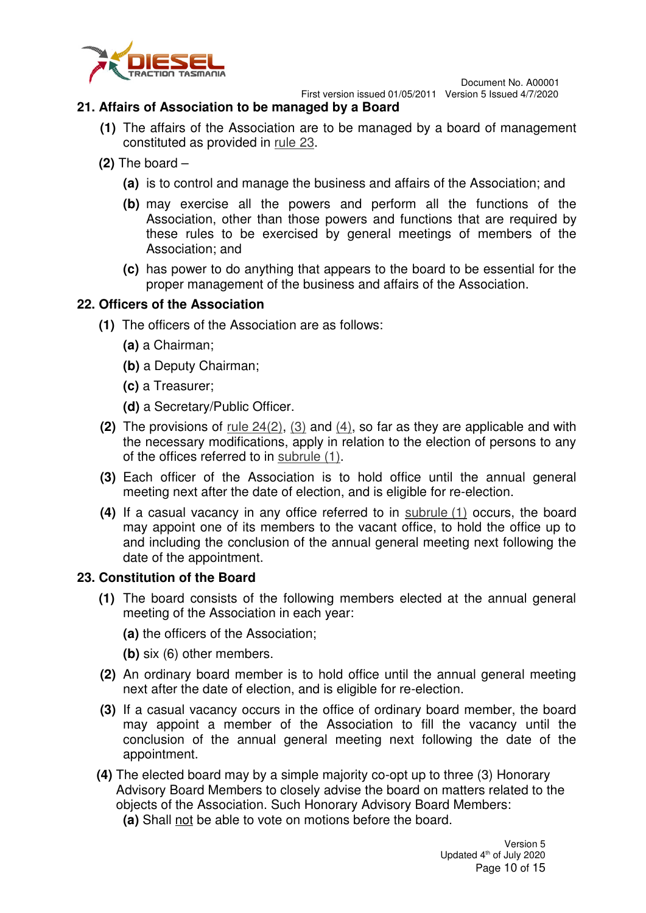

## **21. Affairs of Association to be managed by a Board**

- **(1)** The affairs of the Association are to be managed by a board of management constituted as provided in rule 23.
- **(2)** The board
	- **(a)** is to control and manage the business and affairs of the Association; and
	- **(b)** may exercise all the powers and perform all the functions of the Association, other than those powers and functions that are required by these rules to be exercised by general meetings of members of the Association; and
	- **(c)** has power to do anything that appears to the board to be essential for the proper management of the business and affairs of the Association.

## **22. Officers of the Association**

- **(1)** The officers of the Association are as follows:
	- **(a)** a Chairman;
	- **(b)** a Deputy Chairman;
	- **(c)** a Treasurer;
	- **(d)** a Secretary/Public Officer.
- **(2)** The provisions of rule 24(2), (3) and (4), so far as they are applicable and with the necessary modifications, apply in relation to the election of persons to any of the offices referred to in subrule (1).
- **(3)** Each officer of the Association is to hold office until the annual general meeting next after the date of election, and is eligible for re-election.
- **(4)** If a casual vacancy in any office referred to in subrule (1) occurs, the board may appoint one of its members to the vacant office, to hold the office up to and including the conclusion of the annual general meeting next following the date of the appointment.

## **23. Constitution of the Board**

- **(1)** The board consists of the following members elected at the annual general meeting of the Association in each year:
	- **(a)** the officers of the Association;
	- **(b)** six (6) other members.
- **(2)** An ordinary board member is to hold office until the annual general meeting next after the date of election, and is eligible for re-election.
- **(3)** If a casual vacancy occurs in the office of ordinary board member, the board may appoint a member of the Association to fill the vacancy until the conclusion of the annual general meeting next following the date of the appointment.
- **(4)** The elected board may by a simple majority co-opt up to three (3) Honorary Advisory Board Members to closely advise the board on matters related to the objects of the Association. Such Honorary Advisory Board Members:
	- **(a)** Shall not be able to vote on motions before the board.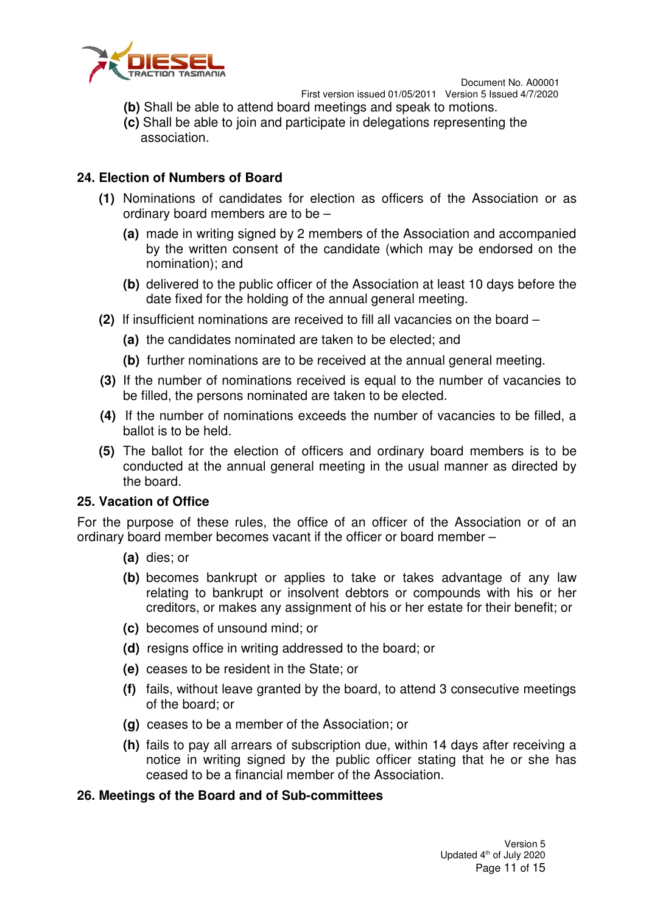



First version issued 01/05/2011 Version 5 Issued 4/7/2020

- **(b)** Shall be able to attend board meetings and speak to motions.
- **(c)** Shall be able to join and participate in delegations representing the association.

#### **24. Election of Numbers of Board**

- **(1)** Nominations of candidates for election as officers of the Association or as ordinary board members are to be –
	- **(a)** made in writing signed by 2 members of the Association and accompanied by the written consent of the candidate (which may be endorsed on the nomination); and
	- **(b)** delivered to the public officer of the Association at least 10 days before the date fixed for the holding of the annual general meeting.
- **(2)** If insufficient nominations are received to fill all vacancies on the board
	- **(a)** the candidates nominated are taken to be elected; and
	- **(b)** further nominations are to be received at the annual general meeting.
- **(3)** If the number of nominations received is equal to the number of vacancies to be filled, the persons nominated are taken to be elected.
- **(4)** If the number of nominations exceeds the number of vacancies to be filled, a ballot is to be held.
- **(5)** The ballot for the election of officers and ordinary board members is to be conducted at the annual general meeting in the usual manner as directed by the board.

#### **25. Vacation of Office**

For the purpose of these rules, the office of an officer of the Association or of an ordinary board member becomes vacant if the officer or board member –

- **(a)** dies; or
- **(b)** becomes bankrupt or applies to take or takes advantage of any law relating to bankrupt or insolvent debtors or compounds with his or her creditors, or makes any assignment of his or her estate for their benefit; or
- **(c)** becomes of unsound mind; or
- **(d)** resigns office in writing addressed to the board; or
- **(e)** ceases to be resident in the State; or
- **(f)** fails, without leave granted by the board, to attend 3 consecutive meetings of the board; or
- **(g)** ceases to be a member of the Association; or
- **(h)** fails to pay all arrears of subscription due, within 14 days after receiving a notice in writing signed by the public officer stating that he or she has ceased to be a financial member of the Association.

#### **26. Meetings of the Board and of Sub-committees**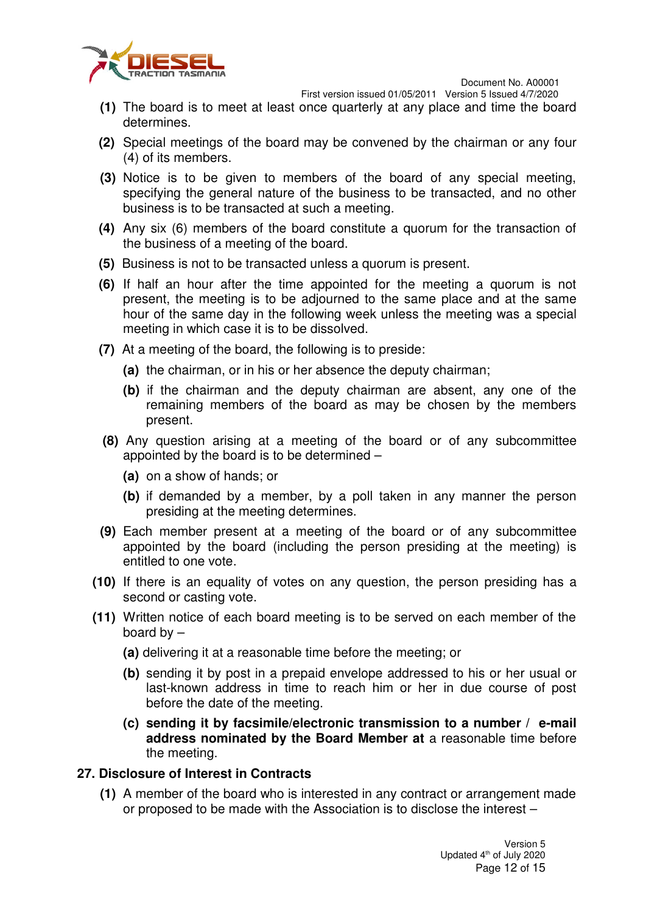

First version issued 01/05/2011 Version 5 Issued 4/7/2020

- **(1)** The board is to meet at least once quarterly at any place and time the board determines.
- **(2)** Special meetings of the board may be convened by the chairman or any four (4) of its members.
- **(3)** Notice is to be given to members of the board of any special meeting, specifying the general nature of the business to be transacted, and no other business is to be transacted at such a meeting.
- **(4)** Any six (6) members of the board constitute a quorum for the transaction of the business of a meeting of the board.
- **(5)** Business is not to be transacted unless a quorum is present.
- **(6)** If half an hour after the time appointed for the meeting a quorum is not present, the meeting is to be adjourned to the same place and at the same hour of the same day in the following week unless the meeting was a special meeting in which case it is to be dissolved.
- **(7)** At a meeting of the board, the following is to preside:
	- **(a)** the chairman, or in his or her absence the deputy chairman;
	- **(b)** if the chairman and the deputy chairman are absent, any one of the remaining members of the board as may be chosen by the members present.
- **(8)** Any question arising at a meeting of the board or of any subcommittee appointed by the board is to be determined –
	- **(a)** on a show of hands; or
	- **(b)** if demanded by a member, by a poll taken in any manner the person presiding at the meeting determines.
- **(9)** Each member present at a meeting of the board or of any subcommittee appointed by the board (including the person presiding at the meeting) is entitled to one vote.
- **(10)** If there is an equality of votes on any question, the person presiding has a second or casting vote.
- **(11)** Written notice of each board meeting is to be served on each member of the board by –
	- **(a)** delivering it at a reasonable time before the meeting; or
	- **(b)** sending it by post in a prepaid envelope addressed to his or her usual or last-known address in time to reach him or her in due course of post before the date of the meeting.
	- **(c) sending it by facsimile/electronic transmission to a number / e-mail address nominated by the Board Member at** a reasonable time before the meeting.

#### **27. Disclosure of Interest in Contracts**

**(1)** A member of the board who is interested in any contract or arrangement made or proposed to be made with the Association is to disclose the interest –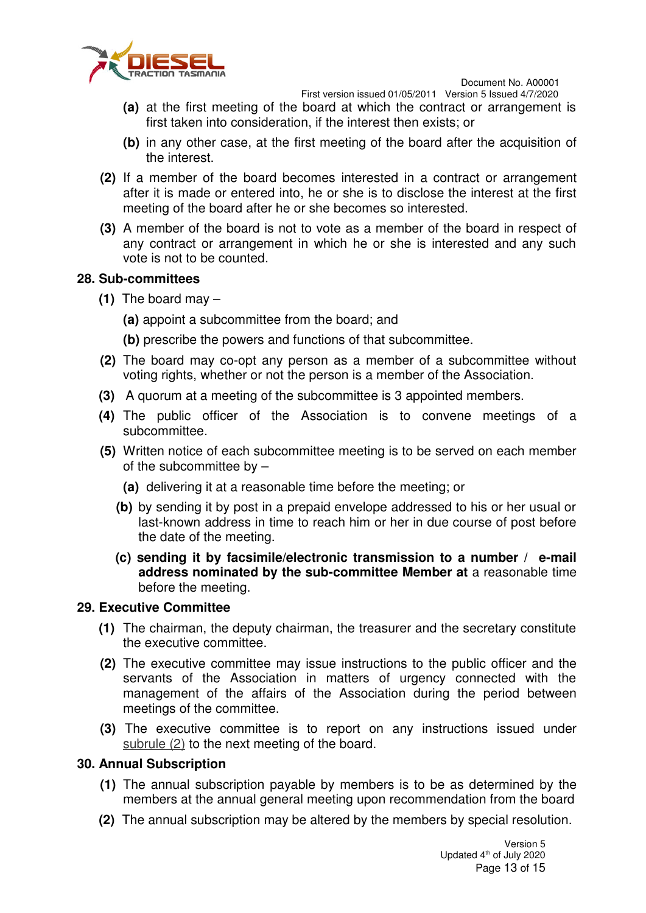

First version issued 01/05/2011 Version 5 Issued 4/7/2020

- **(a)** at the first meeting of the board at which the contract or arrangement is first taken into consideration, if the interest then exists; or
- **(b)** in any other case, at the first meeting of the board after the acquisition of the interest.
- **(2)** If a member of the board becomes interested in a contract or arrangement after it is made or entered into, he or she is to disclose the interest at the first meeting of the board after he or she becomes so interested.
- **(3)** A member of the board is not to vote as a member of the board in respect of any contract or arrangement in which he or she is interested and any such vote is not to be counted.

#### **28. Sub-committees**

**(1)** The board may –

**(a)** appoint a subcommittee from the board; and

**(b)** prescribe the powers and functions of that subcommittee.

- **(2)** The board may co-opt any person as a member of a subcommittee without voting rights, whether or not the person is a member of the Association.
- **(3)** A quorum at a meeting of the subcommittee is 3 appointed members.
- **(4)** The public officer of the Association is to convene meetings of a subcommittee.
- **(5)** Written notice of each subcommittee meeting is to be served on each member of the subcommittee by  $-$ 
	- **(a)** delivering it at a reasonable time before the meeting; or
	- **(b)** by sending it by post in a prepaid envelope addressed to his or her usual or last-known address in time to reach him or her in due course of post before the date of the meeting.
	- **(c) sending it by facsimile/electronic transmission to a number / e-mail address nominated by the sub-committee Member at** a reasonable time before the meeting.

#### **29. Executive Committee**

- **(1)** The chairman, the deputy chairman, the treasurer and the secretary constitute the executive committee.
- **(2)** The executive committee may issue instructions to the public officer and the servants of the Association in matters of urgency connected with the management of the affairs of the Association during the period between meetings of the committee.
- **(3)** The executive committee is to report on any instructions issued under subrule (2) to the next meeting of the board.

## **30. Annual Subscription**

- **(1)** The annual subscription payable by members is to be as determined by the members at the annual general meeting upon recommendation from the board
- **(2)** The annual subscription may be altered by the members by special resolution.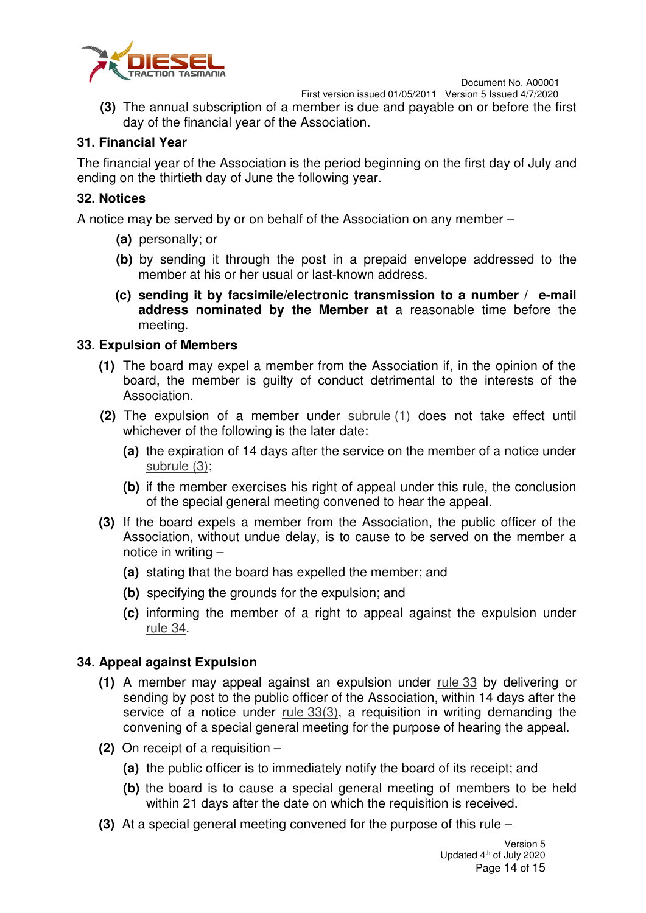



First version issued 01/05/2011 Version 5 Issued 4/7/2020

**(3)** The annual subscription of a member is due and payable on or before the first day of the financial year of the Association.

#### **31. Financial Year**

The financial year of the Association is the period beginning on the first day of July and ending on the thirtieth day of June the following year.

#### **32. Notices**

A notice may be served by or on behalf of the Association on any member –

- **(a)** personally; or
- **(b)** by sending it through the post in a prepaid envelope addressed to the member at his or her usual or last-known address.
- **(c) sending it by facsimile/electronic transmission to a number / e-mail address nominated by the Member at** a reasonable time before the meeting.

#### **33. Expulsion of Members**

- **(1)** The board may expel a member from the Association if, in the opinion of the board, the member is guilty of conduct detrimental to the interests of the Association.
- **(2)** The expulsion of a member under subrule (1) does not take effect until whichever of the following is the later date:
	- **(a)** the expiration of 14 days after the service on the member of a notice under subrule (3);
	- **(b)** if the member exercises his right of appeal under this rule, the conclusion of the special general meeting convened to hear the appeal.
- **(3)** If the board expels a member from the Association, the public officer of the Association, without undue delay, is to cause to be served on the member a notice in writing –
	- **(a)** stating that the board has expelled the member; and
	- **(b)** specifying the grounds for the expulsion; and
	- **(c)** informing the member of a right to appeal against the expulsion under rule 34.

#### **34. Appeal against Expulsion**

- **(1)** A member may appeal against an expulsion under rule 33 by delivering or sending by post to the public officer of the Association, within 14 days after the service of a notice under  $rule 33(3)$ , a requisition in writing demanding the convening of a special general meeting for the purpose of hearing the appeal.
- **(2)** On receipt of a requisition
	- **(a)** the public officer is to immediately notify the board of its receipt; and
	- **(b)** the board is to cause a special general meeting of members to be held within 21 days after the date on which the requisition is received.
- **(3)** At a special general meeting convened for the purpose of this rule –